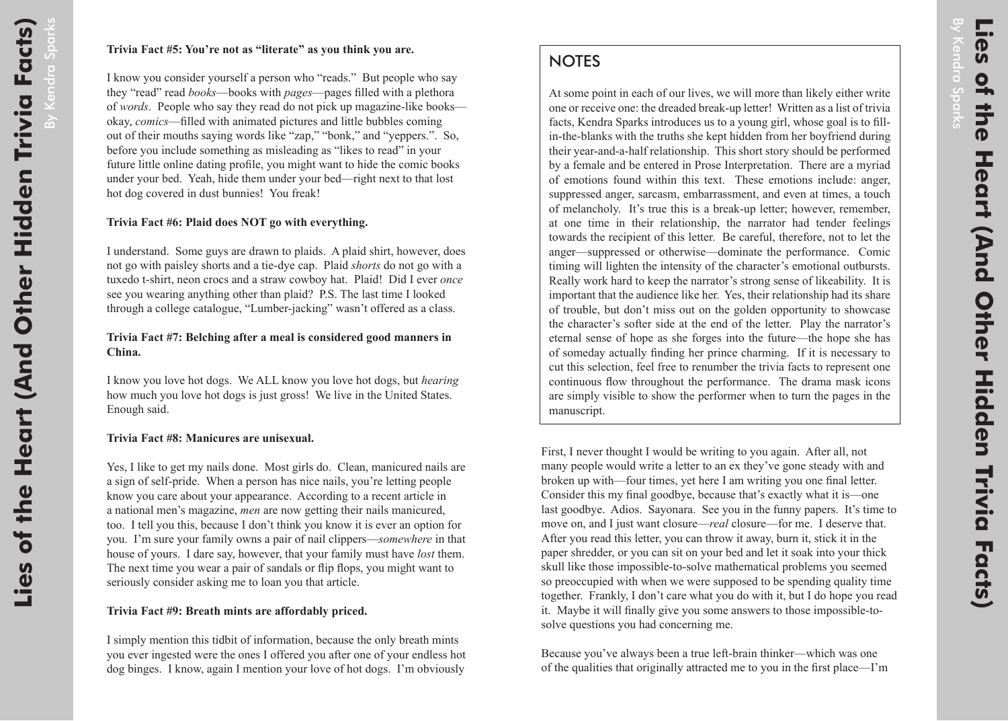By Kendra

Sparks

## **NOTES**

At some point in each of our lives, we will more than likely either write one or receive one: the dreaded break-up letter! Written as a list of trivia facts, Kendra Sparks introduces us to a young girl, whose goal is to fillin-the-blanks with the truths she kept hidden from her boyfriend during their year-and-a-half relationship. This short story should be performed by a female and be entered in Prose Interpretation. There are a myriad of emotions found within this text. These emotions include: anger, suppressed anger, sarcasm, embarrassment, and even at times, a touch of melancholy. It's true this is a break-up letter; however, remember, at one time in their relationship, the narrator had tender feelings towards the recipient of this letter. Be careful, therefore, not to let the anger—suppressed or otherwise—dominate the performance. Comic timing will lighten the intensity of the character's emotional outbursts. Really work hard to keep the narrator's strong sense of likeability. It is important that the audience like her. Yes, their relationship had its share of trouble, but don't miss out on the golden opportunity to showcase the character's softer side at the end of the letter. Play the narrator's eternal sense of hope as she forges into the future—the hope she has of someday actually finding her prince charming. If it is necessary to cut this selection, feel free to renumber the trivia facts to represent one continuous flow throughout the performance. The drama mask icons are simply visible to show the performer when to turn the pages in the manuscript.

First, I never thought I would be writing to you again. After all, not many people would write a letter to an ex they've gone steady with and broken up with—four times, yet here I am writing you one final letter. Consider this my final goodbye, because that's exactly what it is—one last goodbye. Adios. Sayonara. See you in the funny papers. It's time to move on, and I just want closure—*real* closure—for me. I deserve that. After you read this letter, you can throw it away, burn it, stick it in the paper shredder, or you can sit on your bed and let it soak into your thick skull like those impossible-to-solve mathematical problems you seemed so preoccupied with when we were supposed to be spending quality time together. Frankly, I don't care what you do with it, but I do hope you read it. Maybe it will finally give you some answers to those impossible-tosolve questions you had concerning me.

Because you've always been a true left-brain thinker—which was one of the qualities that originally attracted me to you in the first place—I'm